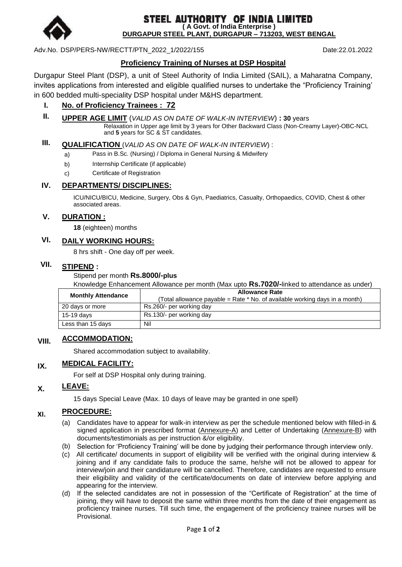

**STEEL AUTHORITY OF INDIA LIMITED** (A Govt. of India Enterprise ) **DURGAPUR STEEL PLANT, DURGAPUR – 713203, WEST BENGAL**

Adv.No. DSP/PERS-NW/RECTT/PTN\_2022\_1/2022/155 Date:22.01.2022

# **Proficiency Training of Nurses at DSP Hospital**

Durgapur Steel Plant (DSP), a unit of Steel Authority of India Limited (SAIL), a Maharatna Company, invites applications from interested and eligible qualified nurses to undertake the "Proficiency Training" in 600 bedded multi-speciality DSP hospital under M&HS department.

## **I. No. of Proficiency Trainees : 72**

**II. UPPER AGE LIMIT** (*VALID AS ON DATE OF WALK-IN INTERVIEW*) **: 30** years

Relaxation in Upper age limit by 3 years for Other Backward Class (Non-Creamy Layer)-OBC-NCL and **5** years for SC & ST candidates.

# **III. QUALIFICATION** (*VALID AS ON DATE OF WALK-IN INTERVIEW*) :

- a) Pass in B.Sc. (Nursing) / Diploma in General Nursing & Midwifery
- b) Internship Certificate (if applicable)
- c) Certificate of Registration

#### **IV. DEPARTMENTS/ DISCIPLINES:**

ICU/NICU/BICU, Medicine, Surgery, Obs & Gyn, Paediatrics, Casualty, Orthopaedics, COVID, Chest & other associated areas.

#### **V. DURATION :**

**18** (eighteen) months

# **VI. DAILY WORKING HOURS:**

8 hrs shift - One day off per week.

# **VII. STIPEND :**

#### Stipend per month **Rs.8000/-plus**

Knowledge Enhancement Allowance per month (Max upto **Rs.7020/-**linked to attendance as under)

| <b>Monthly Attendance</b> | <b>Allowance Rate</b><br>(Total allowance payable = Rate * No. of available working days in a month) |
|---------------------------|------------------------------------------------------------------------------------------------------|
| 20 days or more           | Rs.260/- per working day                                                                             |
| 15-19 days                | Rs.130/- per working day                                                                             |
| Less than 15 days         | Nil                                                                                                  |

# **VIII. ACCOMMODATION:**

Shared accommodation subject to availability.

#### **IX. MEDICAL FACILITY:**

For self at DSP Hospital only during training.

# **X. LEAVE:**

15 days Special Leave (Max. 10 days of leave may be granted in one spell)

#### **XI. PROCEDURE:**

- (a) Candidates have to appear for walk-in interview as per the schedule mentioned below with filled-in & signed application in prescribed format (Annexure-A) and Letter of Undertaking (Annexure-B) with documents/testimonials as per instruction &/or eligibility.
- (b) Selection for "Proficiency Training" will be done by judging their performance through interview only.
- (c) All certificate/ documents in support of eligibility will be verified with the original during interview & joining and if any candidate fails to produce the same, he/she will not be allowed to appear for interview/join and their candidature will be cancelled. Therefore, candidates are requested to ensure their eligibility and validity of the certificate/documents on date of interview before applying and appearing for the interview.
- (d) If the selected candidates are not in possession of the "Certificate of Registration" at the time of joining, they will have to deposit the same within three months from the date of their engagement as proficiency trainee nurses. Till such time, the engagement of the proficiency trainee nurses will be Provisional.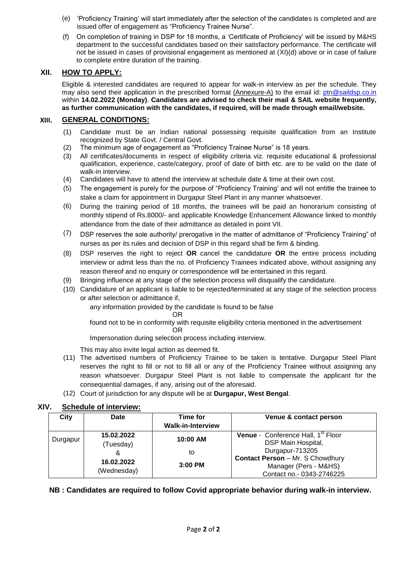- (e) "Proficiency Training" will start immediately after the selection of the candidates is completed and are issued offer of engagement as "Proficiency Trainee Nurse".
- (f) On completion of training in DSP for 18 months, a "Certificate of Proficiency" will be issued by M&HS department to the successful candidates based on their satisfactory performance. The certificate will not be issued in cases of provisional engagement as mentioned at (XI)(d) above or in case of failure to complete entire duration of the training.

### **XII. HOW TO APPLY:**

Eligible & interested candidates are required to appear for walk-in interview as per the schedule. They may also send their application in the prescribed format (Annexure-A) to the email id: [ptn@saildsp.co.in](mailto:ptn@saildsp.co.in) within **14.02.2022 (Monday)**. **Candidates are advised to check their mail & SAIL website frequently, as further communication with the candidates, if required, will be made through email/website.**

#### **XIII. GENERAL CONDITIONS:**

- (1) Candidate must be an Indian national possessing requisite qualification from an Institute recognized by State Govt. / Central Govt.
- (2) The minimum age of engagement as "Proficiency Trainee Nurse" is 18 years.
- (3) All certificates/documents in respect of eligibility criteria viz. requisite educational & professional qualification, experience, caste/category, proof of date of birth etc. are to be valid on the date of walk-in interview.
- (4) Candidates will have to attend the interview at schedule date & time at their own cost.
- (5) The engagement is purely for the purpose of "Proficiency Training" and will not entitle the trainee to stake a claim for appointment in Durgapur Steel Plant in any manner whatsoever.
- (6) During the training period of 18 months, the trainees will be paid an honorarium consisting of monthly stipend of Rs.8000/- and applicable Knowledge Enhancement Allowance linked to monthly attendance from the date of their admittance as detailed in point VII.
- (7) DSP reserves the sole authority/ prerogative in the matter of admittance of "Proficiency Training" of nurses as per its rules and decision of DSP in this regard shall be firm & binding.
- (8) DSP reserves the right to reject **OR** cancel the candidature **OR** the entire process including interview or admit less than the no. of Proficiency Trainees indicated above, without assigning any reason thereof and no enquiry or correspondence will be entertained in this regard.
- (9) Bringing influence at any stage of the selection process will disqualify the candidature.
- (10) Candidature of an applicant is liable to be rejected/terminated at any stage of the selection process or after selection or admittance if,

any information provided by the candidate is found to be false

OR

found not to be in conformity with requisite eligibility criteria mentioned in the advertisement OR

Impersonation during selection process including interview.

This may also invite legal action as deemed fit.

- (11) The advertised numbers of Proficiency Trainee to be taken is tentative. Durgapur Steel Plant reserves the right to fill or not to fill all or any of the Proficiency Trainee without assigning any reason whatsoever. Durgapur Steel Plant is not liable to compensate the applicant for the consequential damages, if any, arising out of the aforesaid.
- (12) Court of jurisdiction for any dispute will be at **Durgapur, West Bengal**.

#### **XIV. Schedule of interview:**

| City     | Date                      | Time for                 | Venue & contact person                                                      |
|----------|---------------------------|--------------------------|-----------------------------------------------------------------------------|
|          |                           | <b>Walk-in-Interview</b> |                                                                             |
| Durgapur | 15.02.2022<br>(Tuesday)   | 10:00 AM                 | <b>Venue</b> - Conference Hall, 1 <sup>st</sup> Floor<br>DSP Main Hospital, |
|          | &                         | to                       | Durgapur-713205<br><b>Contact Person - Mr. S Chowdhury</b>                  |
|          | 16.02.2022<br>(Wednesday) | $3:00$ PM                | Manager (Pers - M&HS)<br>Contact no.- 0343-2746225                          |

#### **NB : Candidates are required to follow Covid appropriate behavior during walk-in interview.**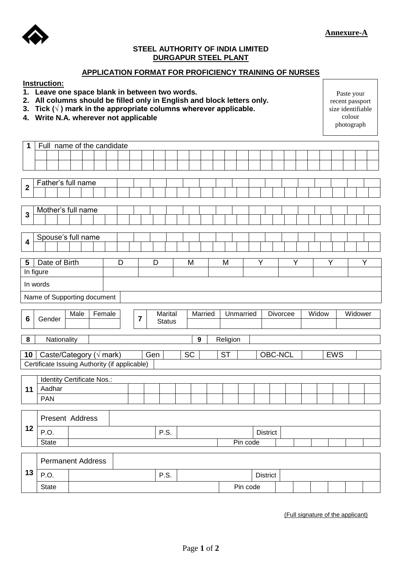

### **STEEL AUTHORITY OF INDIA LIMITED DURGAPUR STEEL PLANT**

#### **APPLICATION FORMAT FOR PROFICIENCY TRAINING OF NURSES**

#### **Instruction:**

- **1. Leave one space blank in between two words.**
- **2. All columns should be filled only in English and block letters only.**
- **3. Tick (√ ) mark in the appropriate columns wherever applicable.**
- **4. Write N.A. wherever not applicable**

| Paste your        |
|-------------------|
| recent passport   |
| size identifiable |
| colour            |
| photograph        |

| 1                       | Full name of the candidate                                                        |  |  |   |                         |     |               |  |    |                |  |           |          |   |                 |   |  |            |  |   |
|-------------------------|-----------------------------------------------------------------------------------|--|--|---|-------------------------|-----|---------------|--|----|----------------|--|-----------|----------|---|-----------------|---|--|------------|--|---|
|                         |                                                                                   |  |  |   |                         |     |               |  |    |                |  |           |          |   |                 |   |  |            |  |   |
|                         |                                                                                   |  |  |   |                         |     |               |  |    |                |  |           |          |   |                 |   |  |            |  |   |
|                         |                                                                                   |  |  |   |                         |     |               |  |    |                |  |           |          |   |                 |   |  |            |  |   |
| $\overline{\mathbf{2}}$ | Father's full name                                                                |  |  |   |                         |     |               |  |    |                |  |           |          |   |                 |   |  |            |  |   |
|                         |                                                                                   |  |  |   |                         |     |               |  |    |                |  |           |          |   |                 |   |  |            |  |   |
|                         | Mother's full name                                                                |  |  |   |                         |     |               |  |    |                |  |           |          |   |                 |   |  |            |  |   |
| $\mathbf{3}$            |                                                                                   |  |  |   |                         |     |               |  |    |                |  |           |          |   |                 |   |  |            |  |   |
|                         |                                                                                   |  |  |   |                         |     |               |  |    |                |  |           |          |   |                 |   |  |            |  |   |
| $\overline{\mathbf{4}}$ | Spouse's full name                                                                |  |  |   |                         |     |               |  |    |                |  |           |          |   |                 |   |  |            |  |   |
|                         |                                                                                   |  |  |   |                         |     |               |  |    |                |  |           |          |   |                 |   |  |            |  |   |
| 5                       | Date of Birth                                                                     |  |  | D |                         |     | D             |  | M  |                |  | M         |          | Y |                 | Y |  | Y          |  | Y |
|                         | In figure                                                                         |  |  |   |                         |     |               |  |    |                |  |           |          |   |                 |   |  |            |  |   |
|                         | In words                                                                          |  |  |   |                         |     |               |  |    |                |  |           |          |   |                 |   |  |            |  |   |
|                         | Name of Supporting document                                                       |  |  |   |                         |     |               |  |    |                |  |           |          |   |                 |   |  |            |  |   |
|                         |                                                                                   |  |  |   |                         |     |               |  |    |                |  |           |          |   |                 |   |  |            |  |   |
|                         | Male<br>Marital<br>Widow<br>Widower<br>Female<br>Married<br>Unmarried<br>Divorcee |  |  |   |                         |     |               |  |    |                |  |           |          |   |                 |   |  |            |  |   |
|                         |                                                                                   |  |  |   |                         |     |               |  |    |                |  |           |          |   |                 |   |  |            |  |   |
| 6                       | Gender                                                                            |  |  |   | $\overline{\mathbf{7}}$ |     | <b>Status</b> |  |    |                |  |           |          |   |                 |   |  |            |  |   |
|                         |                                                                                   |  |  |   |                         |     |               |  |    |                |  |           |          |   |                 |   |  |            |  |   |
| 8                       | Nationality                                                                       |  |  |   |                         |     |               |  |    | $\overline{9}$ |  | Religion  |          |   |                 |   |  |            |  |   |
| 10                      | Caste/Category ( $\sqrt{m}$ mark)                                                 |  |  |   |                         | Gen |               |  | SC |                |  | <b>ST</b> |          |   | OBC-NCL         |   |  | <b>EWS</b> |  |   |
|                         | Certificate Issuing Authority (if applicable)                                     |  |  |   |                         |     |               |  |    |                |  |           |          |   |                 |   |  |            |  |   |
|                         | Identity Certificate Nos.:                                                        |  |  |   |                         |     |               |  |    |                |  |           |          |   |                 |   |  |            |  |   |
| 11                      | Aadhar                                                                            |  |  |   |                         |     |               |  |    |                |  |           |          |   |                 |   |  |            |  |   |
|                         | <b>PAN</b>                                                                        |  |  |   |                         |     |               |  |    |                |  |           |          |   |                 |   |  |            |  |   |
|                         |                                                                                   |  |  |   |                         |     |               |  |    |                |  |           |          |   |                 |   |  |            |  |   |
|                         | Present Address                                                                   |  |  |   |                         |     |               |  |    |                |  |           |          |   |                 |   |  |            |  |   |
| 12                      | P.O.                                                                              |  |  |   |                         |     | P.S.          |  |    |                |  |           |          |   | <b>District</b> |   |  |            |  |   |
|                         | <b>State</b>                                                                      |  |  |   |                         |     |               |  |    |                |  |           | Pin code |   |                 |   |  |            |  |   |
|                         |                                                                                   |  |  |   |                         |     |               |  |    |                |  |           |          |   |                 |   |  |            |  |   |
|                         | <b>Permanent Address</b>                                                          |  |  |   |                         |     |               |  |    |                |  |           |          |   |                 |   |  |            |  |   |
| 13                      | P.O.                                                                              |  |  |   |                         |     | P.S.          |  |    |                |  |           |          |   | <b>District</b> |   |  |            |  |   |

(Full signature of the applicant)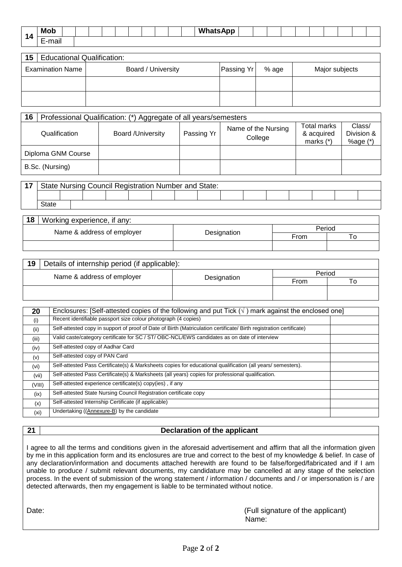| л          | <b>Mob</b>                                                       |  |  |  |  |  | Wŀ<br>$\sim$<br>٩PΡ<br> |  |  |  |  |  |
|------------|------------------------------------------------------------------|--|--|--|--|--|-------------------------|--|--|--|--|--|
| . .<br>- - | $\overline{\phantom{a}}$<br>$\sim$<br>.<br>тнан<br>_<br>-<br>___ |  |  |  |  |  |                         |  |  |  |  |  |

| 15   Educational Qualification: |                    |            |       |                |
|---------------------------------|--------------------|------------|-------|----------------|
| <b>Examination Name</b>         | Board / University | Passing Yr | % age | Major subjects |
|                                 |                    |            |       |                |
|                                 |                    |            |       |                |

| 16                 | Professional Qualification: (*) Aggregate of all years/semesters |            |                                |                                          |                                    |
|--------------------|------------------------------------------------------------------|------------|--------------------------------|------------------------------------------|------------------------------------|
| Qualification      | <b>Board /University</b>                                         | Passing Yr | Name of the Nursing<br>College | Total marks<br>& acquired<br>marks $(*)$ | Class/<br>Division &<br>%age $(*)$ |
| Diploma GNM Course |                                                                  |            |                                |                                          |                                    |
| B.Sc. (Nursing)    |                                                                  |            |                                |                                          |                                    |

| 17 |       | State Nursing Council Registration Number and State: |  |  |  |  |  |  |  |  |  |  |  |  |  |
|----|-------|------------------------------------------------------|--|--|--|--|--|--|--|--|--|--|--|--|--|
|    |       |                                                      |  |  |  |  |  |  |  |  |  |  |  |  |  |
|    | State |                                                      |  |  |  |  |  |  |  |  |  |  |  |  |  |

| 18<br>Working experience, if any: |             |        |  |
|-----------------------------------|-------------|--------|--|
| Name & address of employer        |             | Period |  |
|                                   | Designation | From   |  |
|                                   |             |        |  |

| 19 | Details of internship period (if applicable): |             |        |  |
|----|-----------------------------------------------|-------------|--------|--|
|    | Name & address of employer                    |             | Period |  |
|    |                                               | Designation | From   |  |
|    |                                               |             |        |  |
|    |                                               |             |        |  |

| 20     | Enclosures: [Self-attested copies of the following and put Tick $(\forall)$ mark against the enclosed one]          |  |
|--------|---------------------------------------------------------------------------------------------------------------------|--|
| (i)    | Recent identifiable passport size colour photograph (4 copies)                                                      |  |
| (ii)   | Self-attested copy in support of proof of Date of Birth (Matriculation certificate/ Birth registration certificate) |  |
| (iii)  | Valid caste/category certificate for SC / ST/ OBC-NCL/EWS candidates as on date of interview                        |  |
| (iv)   | Self-attested copy of Aadhar Card                                                                                   |  |
| (v)    | Self-attested copy of PAN Card                                                                                      |  |
| (vi)   | Self-attested Pass Certificate(s) & Marksheets copies for educational qualification (all years/ semesters).         |  |
| (vii)  | Self-attested Pass Certificate(s) & Marksheets (all years) copies for professional qualification.                   |  |
| (VIII) | Self-attested experience certificate(s) copy(ies), if any                                                           |  |
| (ix)   | Self-attested State Nursing Council Registration certificate copy                                                   |  |
| (x)    | Self-attested Internship Certificate (if applicable)                                                                |  |
| (xi)   | Undertaking ((Annexure-B) by the candidate                                                                          |  |

#### **21 Declaration of the applicant**

I agree to all the terms and conditions given in the aforesaid advertisement and affirm that all the information given by me in this application form and its enclosures are true and correct to the best of my knowledge & belief. In case of any declaration/information and documents attached herewith are found to be false/forged/fabricated and if I am unable to produce / submit relevant documents, my candidature may be cancelled at any stage of the selection process. In the event of submission of the wrong statement / information / documents and / or impersonation is / are detected afterwards, then my engagement is liable to be terminated without notice.

Date:  $\blacksquare$  Date:  $\blacksquare$ Name: